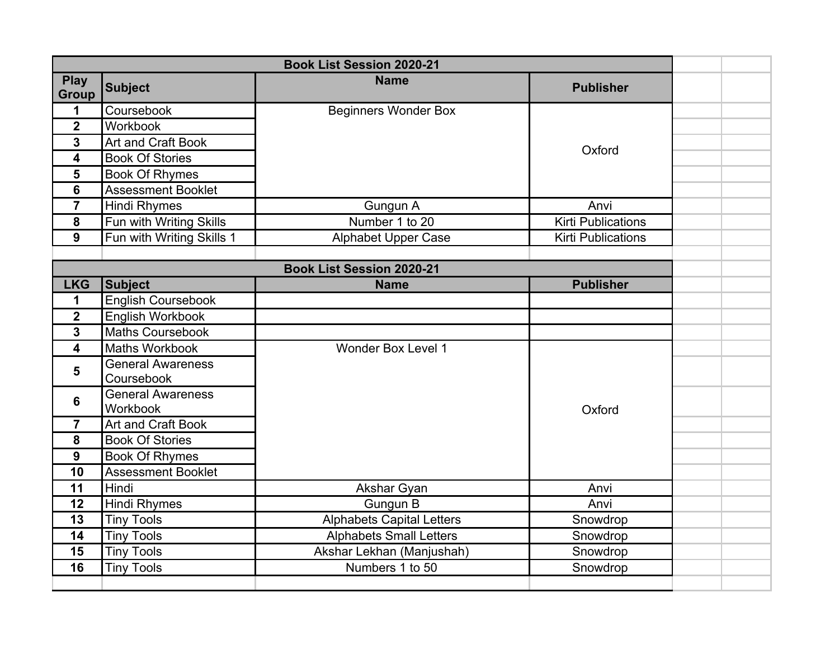| <b>Book List Session 2020-21</b> |                           |                                  |                           |  |
|----------------------------------|---------------------------|----------------------------------|---------------------------|--|
| <b>Play</b><br>Group             | <b>Subject</b>            | <b>Name</b>                      | <b>Publisher</b>          |  |
| 1                                | Coursebook                | <b>Beginners Wonder Box</b>      |                           |  |
| $\overline{\mathbf{2}}$          | Workbook                  |                                  |                           |  |
| $\overline{\mathbf{3}}$          | Art and Craft Book        |                                  | Oxford                    |  |
| 4                                | <b>Book Of Stories</b>    |                                  |                           |  |
| 5                                | <b>Book Of Rhymes</b>     |                                  |                           |  |
| 6                                | <b>Assessment Booklet</b> |                                  |                           |  |
| $\overline{7}$                   | <b>Hindi Rhymes</b>       | Gungun A                         | Anvi                      |  |
| 8                                | Fun with Writing Skills   | Number 1 to 20                   | <b>Kirti Publications</b> |  |
| 9                                | Fun with Writing Skills 1 | <b>Alphabet Upper Case</b>       | <b>Kirti Publications</b> |  |
|                                  |                           |                                  |                           |  |
|                                  |                           | <b>Book List Session 2020-21</b> |                           |  |
| <b>LKG</b>                       | <b>Subject</b>            | <b>Name</b>                      | <b>Publisher</b>          |  |
| 1                                | <b>English Coursebook</b> |                                  |                           |  |
| $\overline{2}$                   | English Workbook          |                                  |                           |  |
| $\overline{3}$                   | <b>Maths Coursebook</b>   |                                  |                           |  |
| 4                                | <b>Maths Workbook</b>     | Wonder Box Level 1               |                           |  |
| 5                                | <b>General Awareness</b>  |                                  |                           |  |
|                                  | Coursebook                |                                  |                           |  |
| 6                                | General Awareness         |                                  |                           |  |
|                                  | Workbook                  |                                  | Oxford                    |  |
| $\overline{7}$                   | <b>Art and Craft Book</b> |                                  |                           |  |
| 8                                | <b>Book Of Stories</b>    |                                  |                           |  |
| 9                                | <b>Book Of Rhymes</b>     |                                  |                           |  |
| 10                               | <b>Assessment Booklet</b> |                                  |                           |  |
| 11                               | Hindi                     | Akshar Gyan                      | Anvi                      |  |
| 12                               | <b>Hindi Rhymes</b>       | Gungun B                         | Anvi                      |  |
| 13                               | <b>Tiny Tools</b>         | <b>Alphabets Capital Letters</b> | Snowdrop                  |  |
| 14                               | <b>Tiny Tools</b>         | <b>Alphabets Small Letters</b>   | Snowdrop                  |  |
| 15                               | <b>Tiny Tools</b>         | Akshar Lekhan (Manjushah)        | Snowdrop                  |  |
| $\overline{16}$                  | <b>Tiny Tools</b>         | Numbers 1 to 50                  | Snowdrop                  |  |
|                                  |                           |                                  |                           |  |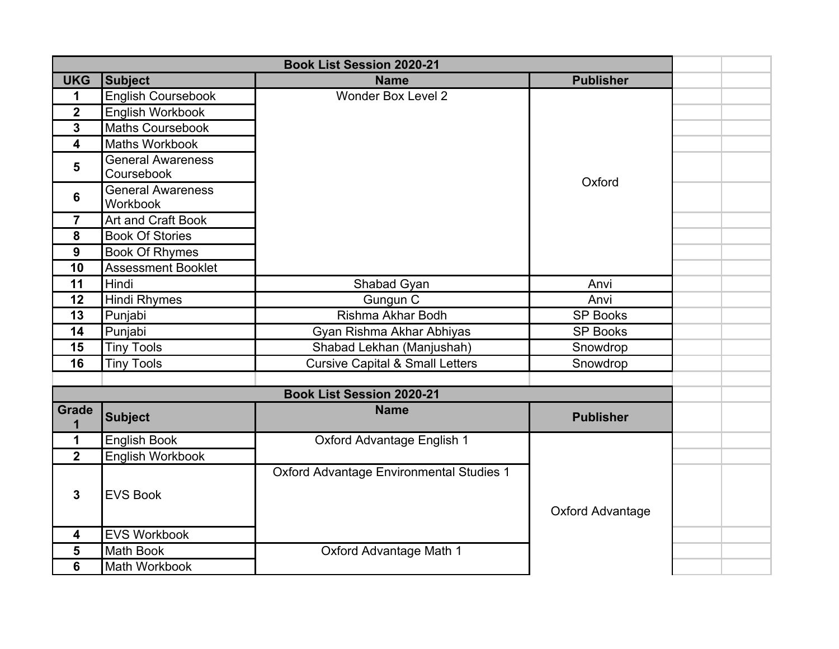| <b>Book List Session 2020-21</b> |                                      |                                            |                  |  |
|----------------------------------|--------------------------------------|--------------------------------------------|------------------|--|
| <b>UKG</b>                       | <b>Subject</b>                       | <b>Name</b>                                | <b>Publisher</b> |  |
| 1                                | English Coursebook                   | <b>Wonder Box Level 2</b>                  |                  |  |
| $\boldsymbol{2}$                 | English Workbook                     |                                            |                  |  |
| 3                                | <b>Maths Coursebook</b>              |                                            |                  |  |
| 4                                | <b>Maths Workbook</b>                |                                            |                  |  |
| 5                                | <b>General Awareness</b>             |                                            |                  |  |
|                                  | Coursebook                           |                                            | Oxford           |  |
| 6                                | <b>General Awareness</b><br>Workbook |                                            |                  |  |
| $\overline{7}$                   | Art and Craft Book                   |                                            |                  |  |
| 8                                | <b>Book Of Stories</b>               |                                            |                  |  |
| 9                                | <b>Book Of Rhymes</b>                |                                            |                  |  |
| 10                               | <b>Assessment Booklet</b>            |                                            |                  |  |
| $\overline{11}$                  | Hindi                                | Shabad Gyan                                | Anvi             |  |
| 12                               | <b>Hindi Rhymes</b>                  | Gungun C                                   | Anvi             |  |
| 13                               | Punjabi                              | Rishma Akhar Bodh                          | <b>SP Books</b>  |  |
| 14                               | Punjabi                              | Gyan Rishma Akhar Abhiyas                  | <b>SP Books</b>  |  |
| 15                               | <b>Tiny Tools</b>                    | Shabad Lekhan (Manjushah)                  | Snowdrop         |  |
| 16                               | <b>Tiny Tools</b>                    | <b>Cursive Capital &amp; Small Letters</b> | Snowdrop         |  |
|                                  |                                      |                                            |                  |  |
|                                  |                                      | <b>Book List Session 2020-21</b>           |                  |  |
| Grade<br>1                       | <b>Subject</b>                       | <b>Name</b>                                | <b>Publisher</b> |  |
| 1                                | English Book                         | Oxford Advantage English 1                 |                  |  |
| $\overline{2}$                   | English Workbook                     |                                            |                  |  |
|                                  |                                      | Oxford Advantage Environmental Studies 1   |                  |  |
| 3                                | <b>EVS Book</b>                      |                                            |                  |  |
|                                  |                                      |                                            | Oxford Advantage |  |
| 4                                | <b>EVS Workbook</b>                  |                                            |                  |  |
| 5                                | Math Book                            | Oxford Advantage Math 1                    |                  |  |
| 6                                | Math Workbook                        |                                            |                  |  |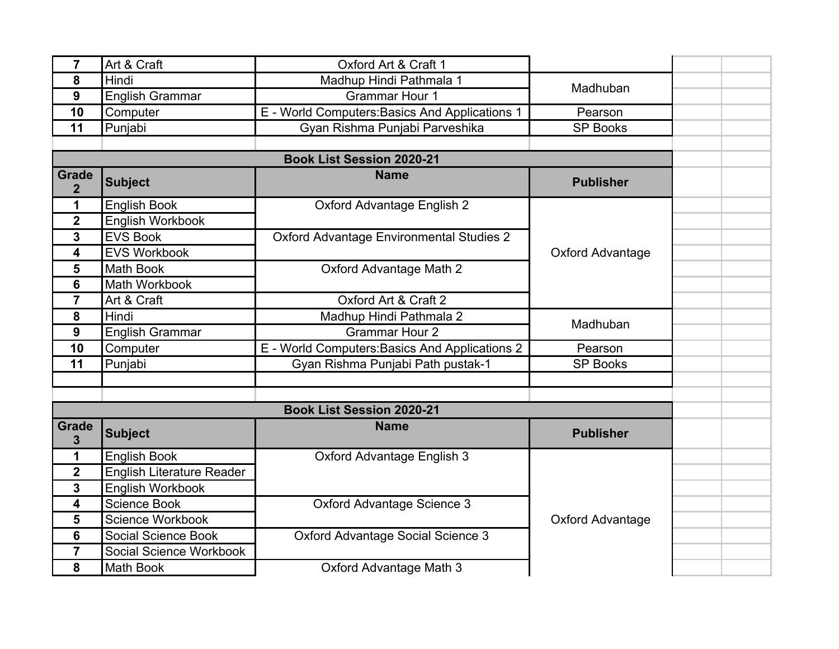| $\overline{7}$              | Art & Craft                      | Oxford Art & Craft 1                           |                  |  |
|-----------------------------|----------------------------------|------------------------------------------------|------------------|--|
| 8                           | Hindi                            | Madhup Hindi Pathmala 1                        | Madhuban         |  |
| 9                           | English Grammar                  | <b>Grammar Hour 1</b>                          |                  |  |
| 10                          | Computer                         | E - World Computers: Basics And Applications 1 | Pearson          |  |
| 11                          | Punjabi                          | Gyan Rishma Punjabi Parveshika                 | <b>SP Books</b>  |  |
|                             |                                  |                                                |                  |  |
|                             |                                  | <b>Book List Session 2020-21</b>               |                  |  |
| <b>Grade</b><br>$\mathbf 2$ | <b>Subject</b>                   | <b>Name</b>                                    | <b>Publisher</b> |  |
| 1                           | English Book                     | Oxford Advantage English 2                     |                  |  |
| $\overline{2}$              | English Workbook                 |                                                |                  |  |
| $\mathbf{3}$                | <b>EVS Book</b>                  | Oxford Advantage Environmental Studies 2       |                  |  |
| $\overline{\mathbf{4}}$     | <b>EVS Workbook</b>              |                                                | Oxford Advantage |  |
| 5                           | <b>Math Book</b>                 | Oxford Advantage Math 2                        |                  |  |
| 6                           | Math Workbook                    |                                                |                  |  |
| $\overline{7}$              | Art & Craft                      | Oxford Art & Craft 2                           |                  |  |
| 8                           | Hindi                            | Madhup Hindi Pathmala 2                        | Madhuban         |  |
| 9                           | <b>English Grammar</b>           | <b>Grammar Hour 2</b>                          |                  |  |
| 10                          | Computer                         | E - World Computers: Basics And Applications 2 | Pearson          |  |
| 11                          | Punjabi                          | Gyan Rishma Punjabi Path pustak-1              | <b>SP Books</b>  |  |
|                             |                                  |                                                |                  |  |
|                             |                                  |                                                |                  |  |
|                             |                                  | <b>Book List Session 2020-21</b>               |                  |  |
| <b>Grade</b><br>3           | <b>Subject</b>                   | <b>Name</b>                                    | <b>Publisher</b> |  |
| 1                           | English Book                     | Oxford Advantage English 3                     |                  |  |
| $\overline{\mathbf{2}}$     | <b>English Literature Reader</b> |                                                |                  |  |
| $\mathbf{3}$                | English Workbook                 |                                                |                  |  |
| $\overline{\mathbf{4}}$     | Science Book                     | <b>Oxford Advantage Science 3</b>              |                  |  |
| 5                           | <b>Science Workbook</b>          |                                                | Oxford Advantage |  |
| 6                           | <b>Social Science Book</b>       | Oxford Advantage Social Science 3              |                  |  |
| $\overline{7}$              | Social Science Workbook          |                                                |                  |  |
| 8                           | Math Book                        | Oxford Advantage Math 3                        |                  |  |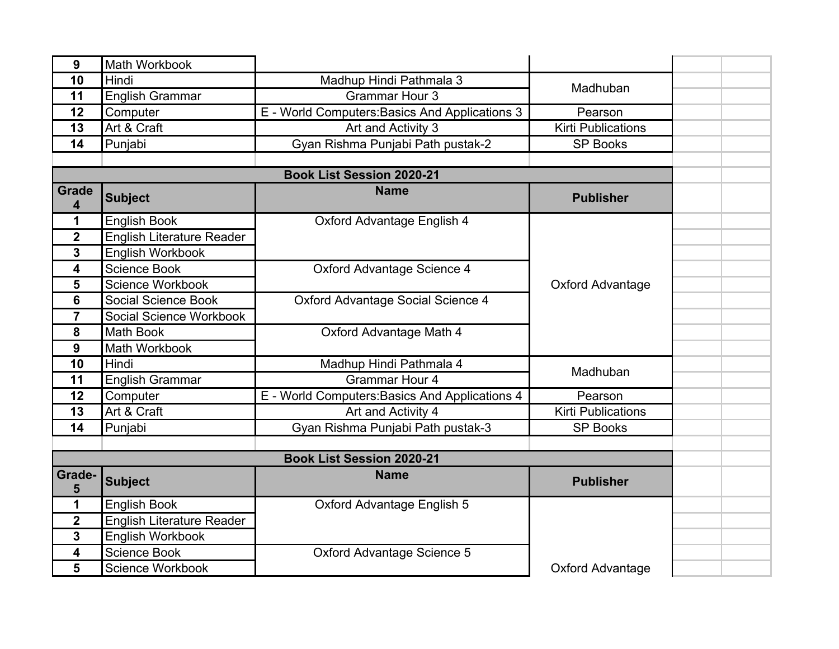| 9                 | Math Workbook                    |                                                |                           |  |
|-------------------|----------------------------------|------------------------------------------------|---------------------------|--|
| 10                | Hindi                            | Madhup Hindi Pathmala 3                        | Madhuban                  |  |
| 11                | English Grammar                  | <b>Grammar Hour 3</b>                          |                           |  |
| 12                | Computer                         | E - World Computers: Basics And Applications 3 | Pearson                   |  |
| 13                | Art & Craft                      | Art and Activity 3                             | <b>Kirti Publications</b> |  |
| 14                | Punjabi                          | Gyan Rishma Punjabi Path pustak-2              | <b>SP Books</b>           |  |
|                   |                                  |                                                |                           |  |
|                   |                                  | <b>Book List Session 2020-21</b>               |                           |  |
| <b>Grade</b><br>4 | <b>Subject</b>                   | <b>Name</b>                                    | <b>Publisher</b>          |  |
| 1                 | <b>English Book</b>              | Oxford Advantage English 4                     |                           |  |
| $\overline{2}$    | <b>English Literature Reader</b> |                                                |                           |  |
| $\overline{3}$    | English Workbook                 |                                                |                           |  |
| 4                 | <b>Science Book</b>              | <b>Oxford Advantage Science 4</b>              |                           |  |
| 5                 | Science Workbook                 |                                                | Oxford Advantage          |  |
| 6                 | <b>Social Science Book</b>       | Oxford Advantage Social Science 4              |                           |  |
| $\overline{7}$    | <b>Social Science Workbook</b>   |                                                |                           |  |
| 8                 | Math Book                        | Oxford Advantage Math 4                        |                           |  |
| 9                 | Math Workbook                    |                                                |                           |  |
| 10                | Hindi                            | Madhup Hindi Pathmala 4                        | Madhuban                  |  |
| 11                | English Grammar                  | Grammar Hour 4                                 |                           |  |
| 12                | Computer                         | E - World Computers: Basics And Applications 4 | Pearson                   |  |
| 13                | Art & Craft                      | Art and Activity 4                             | <b>Kirti Publications</b> |  |
| 14                | Punjabi                          | Gyan Rishma Punjabi Path pustak-3              | <b>SP Books</b>           |  |
|                   |                                  |                                                |                           |  |
|                   |                                  | <b>Book List Session 2020-21</b>               |                           |  |
| Grade-<br>5       | <b>Subject</b>                   | <b>Name</b>                                    | <b>Publisher</b>          |  |
| 1                 | <b>English Book</b>              | Oxford Advantage English 5                     |                           |  |
| $\overline{2}$    | English Literature Reader        |                                                |                           |  |
| 3                 | English Workbook                 |                                                |                           |  |
| 4                 | <b>Science Book</b>              | <b>Oxford Advantage Science 5</b>              |                           |  |
| 5                 | <b>Science Workbook</b>          |                                                | Oxford Advantage          |  |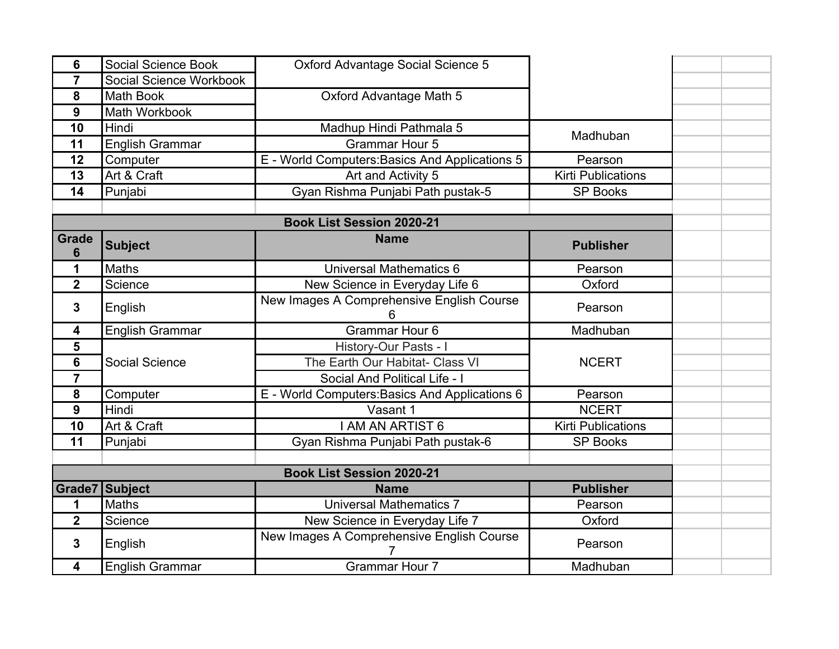| 6                       | <b>Social Science Book</b>       | Oxford Advantage Social Science 5              |                           |  |  |
|-------------------------|----------------------------------|------------------------------------------------|---------------------------|--|--|
| $\overline{7}$          | Social Science Workbook          |                                                |                           |  |  |
| 8                       | <b>Math Book</b>                 | Oxford Advantage Math 5                        |                           |  |  |
| 9                       | Math Workbook                    |                                                |                           |  |  |
| 10                      | Hindi                            | Madhup Hindi Pathmala 5                        |                           |  |  |
| 11                      | <b>English Grammar</b>           | <b>Grammar Hour 5</b>                          | Madhuban                  |  |  |
| 12                      | Computer                         | E - World Computers: Basics And Applications 5 | Pearson                   |  |  |
| 13                      | Art & Craft                      | Art and Activity 5                             | <b>Kirti Publications</b> |  |  |
| 14                      | Punjabi                          | Gyan Rishma Punjabi Path pustak-5              | <b>SP Books</b>           |  |  |
|                         |                                  |                                                |                           |  |  |
|                         |                                  | <b>Book List Session 2020-21</b>               |                           |  |  |
| <b>Grade</b><br>6       | <b>Subject</b>                   | <b>Name</b>                                    | <b>Publisher</b>          |  |  |
| 1                       | Maths                            | <b>Universal Mathematics 6</b>                 | Pearson                   |  |  |
| $\overline{\mathbf{2}}$ | Science                          | New Science in Everyday Life 6                 | Oxford                    |  |  |
| 3                       | English                          | New Images A Comprehensive English Course<br>6 | Pearson                   |  |  |
| 4                       | <b>English Grammar</b>           | <b>Grammar Hour 6</b>                          | Madhuban                  |  |  |
| 5                       |                                  | History-Our Pasts - I                          |                           |  |  |
| 6                       | <b>Social Science</b>            | The Earth Our Habitat- Class VI                | <b>NCERT</b>              |  |  |
| $\overline{7}$          |                                  | Social And Political Life - I                  |                           |  |  |
| 8                       | Computer                         | E - World Computers: Basics And Applications 6 | Pearson                   |  |  |
| 9                       | Hindi                            | Vasant 1                                       | <b>NCERT</b>              |  |  |
| 10                      | Art & Craft                      | <b>I AM AN ARTIST 6</b>                        | <b>Kirti Publications</b> |  |  |
| 11                      | Punjabi                          | Gyan Rishma Punjabi Path pustak-6              | <b>SP Books</b>           |  |  |
|                         |                                  |                                                |                           |  |  |
|                         | <b>Book List Session 2020-21</b> |                                                |                           |  |  |
|                         | Grade7 Subject                   | <b>Name</b>                                    | <b>Publisher</b>          |  |  |
| 1                       | <b>Maths</b>                     | <b>Universal Mathematics 7</b>                 | Pearson                   |  |  |
| $\boldsymbol{2}$        | Science                          | New Science in Everyday Life 7                 | Oxford                    |  |  |
| 3                       | English                          | New Images A Comprehensive English Course      | Pearson                   |  |  |
| 4                       | <b>English Grammar</b>           | <b>Grammar Hour 7</b>                          | Madhuban                  |  |  |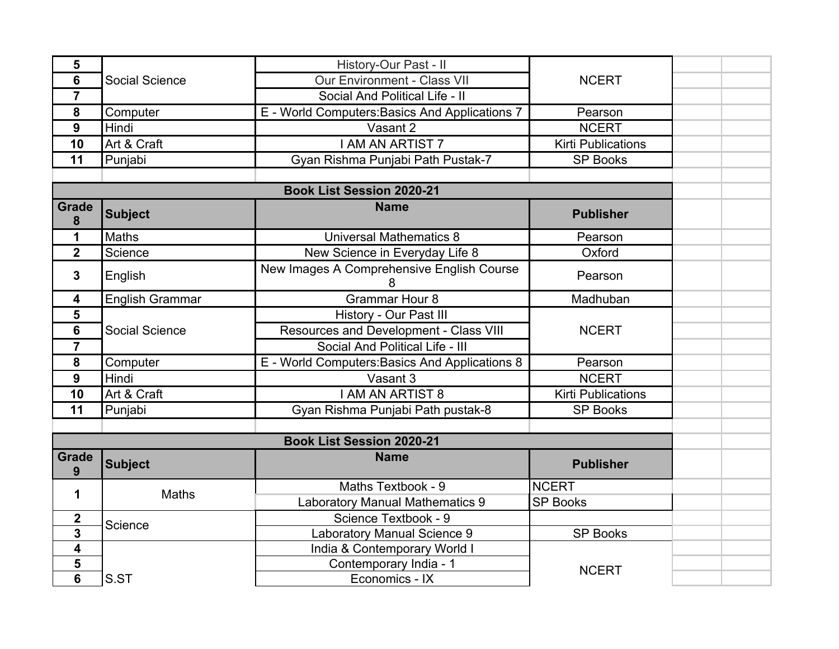| 5                 |                                  | History-Our Past - II                          |                           |  |  |  |
|-------------------|----------------------------------|------------------------------------------------|---------------------------|--|--|--|
| 6                 | <b>Social Science</b>            | Our Environment - Class VII                    | <b>NCERT</b>              |  |  |  |
| $\overline{7}$    |                                  | Social And Political Life - II                 |                           |  |  |  |
| ${\bf 8}$         | Computer                         | E - World Computers: Basics And Applications 7 | Pearson                   |  |  |  |
| $\boldsymbol{9}$  | Hindi                            | Vasant 2                                       | <b>NCERT</b>              |  |  |  |
| 10                | Art & Craft                      | <b>I AM AN ARTIST 7</b>                        | <b>Kirti Publications</b> |  |  |  |
| 11                | Punjabi                          | Gyan Rishma Punjabi Path Pustak-7              | <b>SP Books</b>           |  |  |  |
|                   |                                  |                                                |                           |  |  |  |
|                   | <b>Book List Session 2020-21</b> |                                                |                           |  |  |  |
| <b>Grade</b><br>8 | <b>Subject</b>                   | <b>Name</b>                                    | <b>Publisher</b>          |  |  |  |
| 1                 | Maths                            | <b>Universal Mathematics 8</b>                 | Pearson                   |  |  |  |
| $\boldsymbol{2}$  | Science                          | New Science in Everyday Life 8                 | Oxford                    |  |  |  |
| 3                 | English                          | New Images A Comprehensive English Course<br>8 | Pearson                   |  |  |  |
| 4                 | <b>English Grammar</b>           | <b>Grammar Hour 8</b>                          | Madhuban                  |  |  |  |
| 5                 | <b>Social Science</b>            | History - Our Past III                         |                           |  |  |  |
| 6                 |                                  | Resources and Development - Class VIII         | <b>NCERT</b>              |  |  |  |
| $\overline{7}$    |                                  | Social And Political Life - III                |                           |  |  |  |
| 8                 | Computer                         | E - World Computers: Basics And Applications 8 | Pearson                   |  |  |  |
| 9                 | Hindi                            | Vasant 3                                       | <b>NCERT</b>              |  |  |  |
| 10                | Art & Craft                      | I AM AN ARTIST 8                               | <b>Kirti Publications</b> |  |  |  |
| 11                | Punjabi                          | Gyan Rishma Punjabi Path pustak-8              | <b>SP Books</b>           |  |  |  |
|                   |                                  |                                                |                           |  |  |  |
|                   |                                  | <b>Book List Session 2020-21</b>               |                           |  |  |  |
| <b>Grade</b><br>9 | <b>Subject</b>                   | <b>Name</b>                                    | <b>Publisher</b>          |  |  |  |
| 1                 | <b>Maths</b>                     | Maths Textbook - 9                             | <b>NCERT</b>              |  |  |  |
|                   |                                  | <b>Laboratory Manual Mathematics 9</b>         | <b>SP Books</b>           |  |  |  |
| $\mathbf 2$       | Science                          | Science Textbook - 9                           |                           |  |  |  |
| 3                 |                                  | Laboratory Manual Science 9                    | <b>SP Books</b>           |  |  |  |
| 4                 |                                  | India & Contemporary World I                   |                           |  |  |  |
| 5                 |                                  | Contemporary India - 1                         | <b>NCERT</b>              |  |  |  |
| 6                 | S.ST                             | Economics - IX                                 |                           |  |  |  |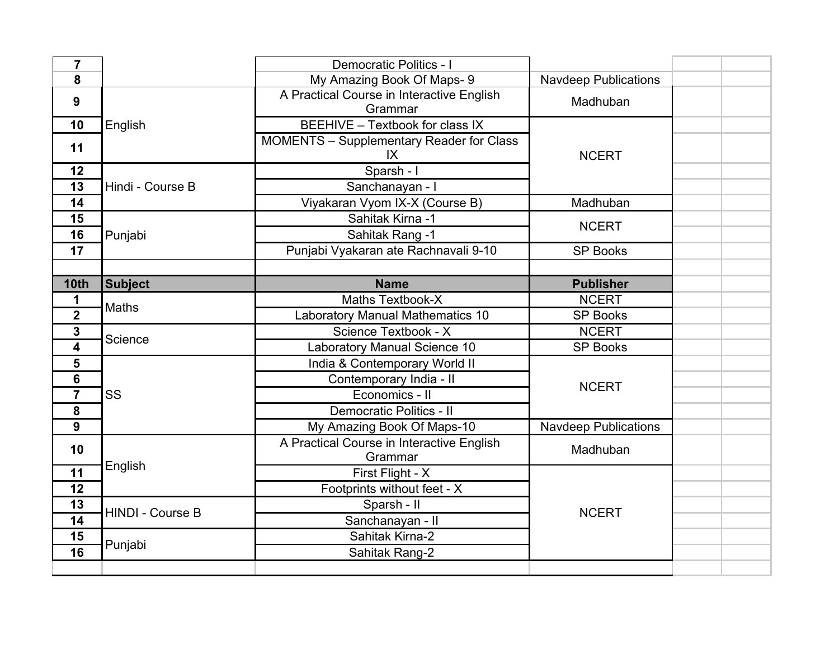| $\overline{7}$          |                         | <b>Democratic Politics - I</b>                  |                             |  |
|-------------------------|-------------------------|-------------------------------------------------|-----------------------------|--|
| 8                       |                         | My Amazing Book Of Maps-9                       | <b>Navdeep Publications</b> |  |
| 9                       |                         | A Practical Course in Interactive English       | Madhuban                    |  |
|                         |                         | Grammar                                         |                             |  |
| 10                      | English                 | BEEHIVE - Textbook for class IX                 |                             |  |
| 11                      |                         | <b>MOMENTS - Supplementary Reader for Class</b> |                             |  |
|                         |                         | IX                                              | <b>NCERT</b>                |  |
| 12                      |                         | Sparsh - I                                      |                             |  |
| 13                      | Hindi - Course B        | Sanchanayan - I                                 |                             |  |
| 14                      |                         | Viyakaran Vyom IX-X (Course B)                  | Madhuban                    |  |
| 15                      |                         | Sahitak Kirna -1                                | <b>NCERT</b>                |  |
| 16                      | Punjabi                 | Sahitak Rang -1                                 |                             |  |
| 17                      |                         | Punjabi Vyakaran ate Rachnavali 9-10            | <b>SP Books</b>             |  |
|                         |                         |                                                 |                             |  |
| <b>10th</b>             | <b>Subject</b>          | <b>Name</b>                                     | <b>Publisher</b>            |  |
| 1                       | <b>Maths</b>            | Maths Textbook-X                                | <b>NCERT</b>                |  |
| $\overline{\mathbf{2}}$ |                         | Laboratory Manual Mathematics 10                | <b>SP Books</b>             |  |
| 3                       | Science                 | Science Textbook - X                            | <b>NCERT</b>                |  |
| $\overline{\mathbf{4}}$ |                         | Laboratory Manual Science 10                    | <b>SP Books</b>             |  |
|                         |                         |                                                 |                             |  |
| 5                       |                         | India & Contemporary World II                   |                             |  |
| 6                       |                         | Contemporary India - II                         |                             |  |
| $\overline{7}$          | SS                      | Economics - II                                  | <b>NCERT</b>                |  |
| 8                       |                         | <b>Democratic Politics - II</b>                 |                             |  |
| $\boldsymbol{9}$        |                         | My Amazing Book Of Maps-10                      | <b>Navdeep Publications</b> |  |
|                         |                         | A Practical Course in Interactive English       |                             |  |
| 10                      |                         | Grammar                                         | Madhuban                    |  |
| 11                      | English                 | First Flight - X                                |                             |  |
| 12                      |                         | Footprints without feet - X                     |                             |  |
| 13                      |                         | Sparsh - II                                     |                             |  |
| 14                      | <b>HINDI - Course B</b> | Sanchanayan - II                                | <b>NCERT</b>                |  |
| 15                      |                         | Sahitak Kirna-2                                 |                             |  |
| 16                      | Punjabi                 | Sahitak Rang-2                                  |                             |  |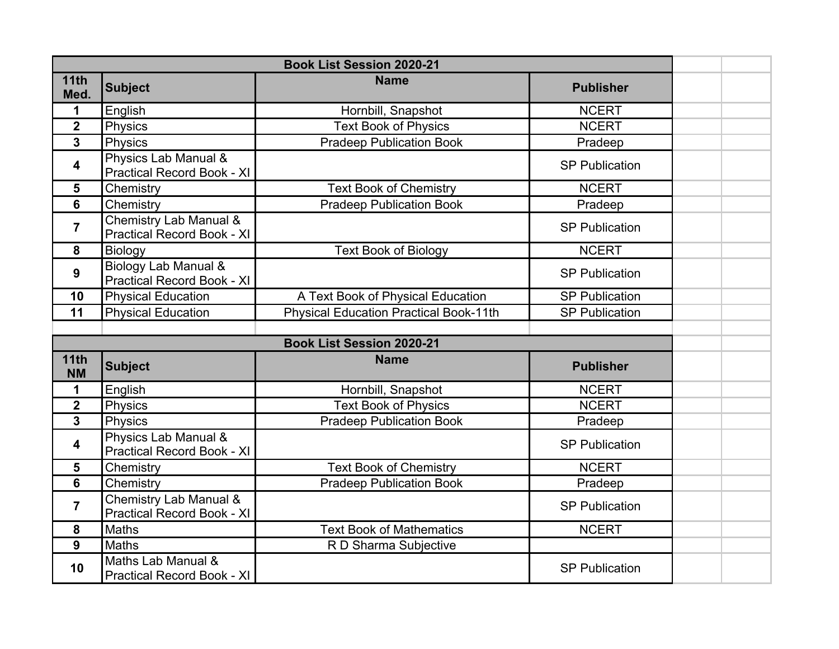| <b>Book List Session 2020-21</b> |                                                                      |                                               |                       |  |
|----------------------------------|----------------------------------------------------------------------|-----------------------------------------------|-----------------------|--|
| 11th<br>Med.                     | <b>Subject</b>                                                       | <b>Name</b>                                   | <b>Publisher</b>      |  |
| 1                                | English                                                              | Hornbill, Snapshot                            | <b>NCERT</b>          |  |
| $\mathbf{2}$                     | <b>Physics</b>                                                       | <b>Text Book of Physics</b>                   | <b>NCERT</b>          |  |
| $\overline{3}$                   | Physics                                                              | <b>Pradeep Publication Book</b>               | Pradeep               |  |
| 4                                | Physics Lab Manual &<br><b>Practical Record Book - XI</b>            |                                               | <b>SP Publication</b> |  |
| 5                                | Chemistry                                                            | <b>Text Book of Chemistry</b>                 | <b>NCERT</b>          |  |
| $6\phantom{1}$                   | Chemistry                                                            | <b>Pradeep Publication Book</b>               | Pradeep               |  |
| $\overline{7}$                   | Chemistry Lab Manual &<br><b>Practical Record Book - XI</b>          |                                               | <b>SP Publication</b> |  |
| 8                                | Biology                                                              | <b>Text Book of Biology</b>                   | <b>NCERT</b>          |  |
| 9                                | <b>Biology Lab Manual &amp;</b><br><b>Practical Record Book - XI</b> |                                               | <b>SP Publication</b> |  |
| 10                               | <b>Physical Education</b>                                            | A Text Book of Physical Education             | <b>SP Publication</b> |  |
| 11                               | <b>Physical Education</b>                                            | <b>Physical Education Practical Book-11th</b> | <b>SP Publication</b> |  |
|                                  |                                                                      |                                               |                       |  |
|                                  |                                                                      | <b>Book List Session 2020-21</b>              |                       |  |
| 11th<br><b>NM</b>                | <b>Subject</b>                                                       | <b>Name</b>                                   | <b>Publisher</b>      |  |
| 1                                | English                                                              | Hornbill, Snapshot                            | <b>NCERT</b>          |  |
| $\overline{2}$                   | Physics                                                              | <b>Text Book of Physics</b>                   | <b>NCERT</b>          |  |
| $\overline{3}$                   | Physics                                                              | <b>Pradeep Publication Book</b>               | Pradeep               |  |
| 4                                | Physics Lab Manual &<br><b>Practical Record Book - XI</b>            |                                               | <b>SP Publication</b> |  |
| 5                                | Chemistry                                                            | <b>Text Book of Chemistry</b>                 | <b>NCERT</b>          |  |
| 6                                | Chemistry                                                            | <b>Pradeep Publication Book</b>               | Pradeep               |  |
| $\overline{7}$                   | Chemistry Lab Manual &<br><b>Practical Record Book - XI</b>          |                                               | <b>SP Publication</b> |  |
| 8                                | <b>Maths</b>                                                         | <b>Text Book of Mathematics</b>               | <b>NCERT</b>          |  |
| 9                                | Maths                                                                | R D Sharma Subjective                         |                       |  |
| 10                               | Maths Lab Manual &<br><b>Practical Record Book - XI</b>              |                                               | <b>SP Publication</b> |  |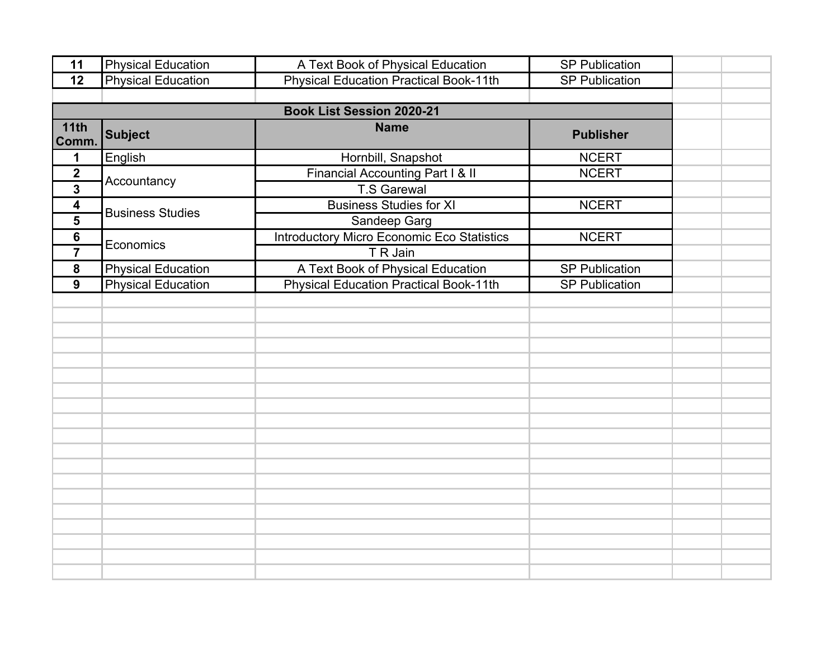| 11                               | <b>Physical Education</b> | A Text Book of Physical Education             | <b>SP Publication</b> |  |  |
|----------------------------------|---------------------------|-----------------------------------------------|-----------------------|--|--|
| 12                               | <b>Physical Education</b> | <b>Physical Education Practical Book-11th</b> | <b>SP Publication</b> |  |  |
|                                  |                           |                                               |                       |  |  |
| <b>Book List Session 2020-21</b> |                           |                                               |                       |  |  |
| 11th<br>Comm.                    | <b>Subject</b>            | <b>Name</b>                                   | <b>Publisher</b>      |  |  |
| 1                                | English                   | Hornbill, Snapshot                            | <b>NCERT</b>          |  |  |
| $\overline{\mathbf{2}}$          | Accountancy               | Financial Accounting Part I & II              | <b>NCERT</b>          |  |  |
| $\overline{\mathbf{3}}$          |                           | <b>T.S Garewal</b>                            |                       |  |  |
| 4                                | <b>Business Studies</b>   | <b>Business Studies for XI</b>                | <b>NCERT</b>          |  |  |
| 5                                |                           | Sandeep Garg                                  |                       |  |  |
| 6                                | Economics                 | Introductory Micro Economic Eco Statistics    | <b>NCERT</b>          |  |  |
| $\overline{\mathbf{7}}$          |                           | T R Jain                                      |                       |  |  |
| $\boldsymbol{8}$                 | <b>Physical Education</b> | A Text Book of Physical Education             | <b>SP Publication</b> |  |  |
| 9                                | <b>Physical Education</b> | <b>Physical Education Practical Book-11th</b> | <b>SP Publication</b> |  |  |
|                                  |                           |                                               |                       |  |  |
|                                  |                           |                                               |                       |  |  |
|                                  |                           |                                               |                       |  |  |
|                                  |                           |                                               |                       |  |  |
|                                  |                           |                                               |                       |  |  |
|                                  |                           |                                               |                       |  |  |
|                                  |                           |                                               |                       |  |  |
|                                  |                           |                                               |                       |  |  |
|                                  |                           |                                               |                       |  |  |
|                                  |                           |                                               |                       |  |  |
|                                  |                           |                                               |                       |  |  |
|                                  |                           |                                               |                       |  |  |
|                                  |                           |                                               |                       |  |  |
|                                  |                           |                                               |                       |  |  |
|                                  |                           |                                               |                       |  |  |
|                                  |                           |                                               |                       |  |  |
|                                  |                           |                                               |                       |  |  |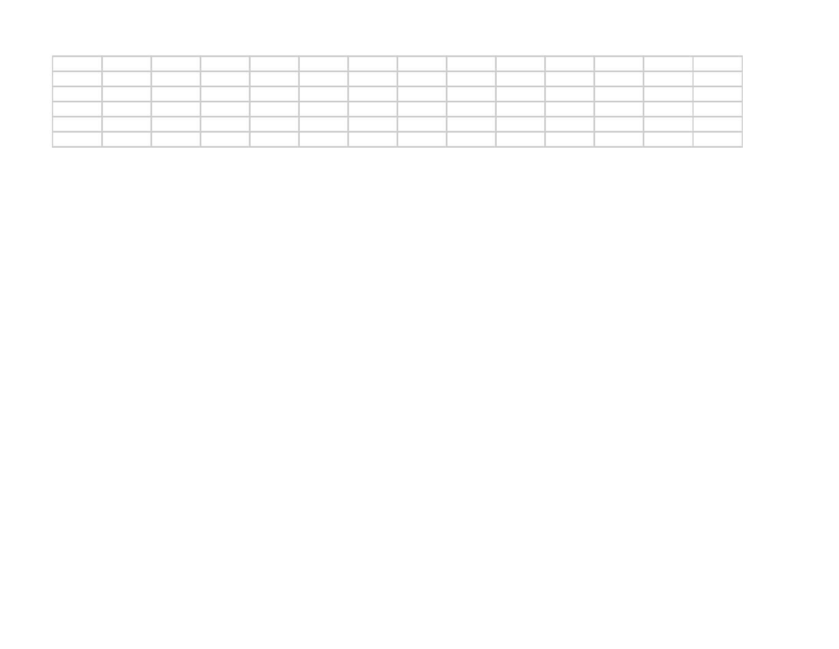|  |  |  |  |  | the contract of the contract of the contract of |  |  |
|--|--|--|--|--|-------------------------------------------------|--|--|
|  |  |  |  |  |                                                 |  |  |
|  |  |  |  |  |                                                 |  |  |
|  |  |  |  |  |                                                 |  |  |
|  |  |  |  |  |                                                 |  |  |
|  |  |  |  |  |                                                 |  |  |